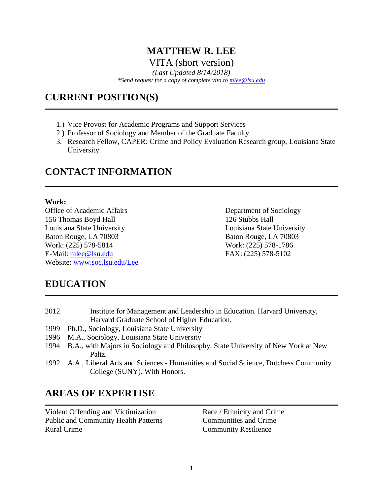## **MATTHEW R. LEE** VITA (short version)

*(Last Updated 8/14/2018)*

*\*Send request for a copy of complete vita to [mlee@lsu.edu](mailto:mlee@lsu.edu)*

## **CURRENT POSITION(S)**

- 1.) Vice Provost for Academic Programs and Support Services
- 2.) Professor of Sociology and Member of the Graduate Faculty
- 3. Research Fellow, CAPER: Crime and Policy Evaluation Research group, Louisiana State University

# **CONTACT INFORMATION**

#### **Work:**

Office of Academic Affairs Department of Sociology 156 Thomas Boyd Hall 126 Stubbs Hall Louisiana State University Louisiana State University Baton Rouge, LA 70803 Baton Rouge, LA 70803 Work: (225) 578-5814 Work: (225) 578-1786 E-Mail: mlee@lsu.edu FAX: (225) 578-5102 Website: [www.soc.lsu.edu/Lee](http://www.soc.lsu.edu/)

# **EDUCATION**

| 2012 | Institute for Management and Leadership in Education. Harvard University,                |
|------|------------------------------------------------------------------------------------------|
|      | Harvard Graduate School of Higher Education.                                             |
| 1999 | Ph.D., Sociology, Louisiana State University                                             |
|      | 1996 M.A., Sociology, Louisiana State University                                         |
|      | 1994 B.A., with Majors in Sociology and Philosophy, State University of New York at New  |
|      | Paltz.                                                                                   |
|      | 1992 A.A., Liberal Arts and Sciences - Humanities and Social Science, Dutchess Community |
|      | College (SUNY). With Honors.                                                             |

# **AREAS OF EXPERTISE**

Violent Offending and Victimization Race / Ethnicity and Crime Public and Community Health Patterns Communities and Crime Rural Crime Community Resilience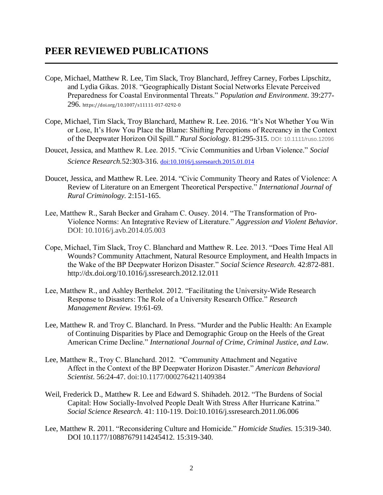## **PEER REVIEWED PUBLICATIONS**

- Cope, Michael, Matthew R. Lee, Tim Slack, Troy Blanchard, Jeffrey Carney, Forbes Lipschitz, and Lydia Gikas. 2018. "Geographically Distant Social Networks Elevate Perceived Preparedness for Coastal Environmental Threats." *Population and Environment*. 39:277- 296. https://doi.org/10.1007/s11111-017-0292-0
- Cope, Michael, Tim Slack, Troy Blanchard, Matthew R. Lee. 2016*.* "It's Not Whether You Win or Lose, It's How You Place the Blame: Shifting Perceptions of Recreancy in the Context of the Deepwater Horizon Oil Spill." *Rural Sociology*. 81:295-315. DOI: 10.1111/ruso.12096
- Doucet, Jessica, and Matthew R. Lee. 2015. "Civic Communities and Urban Violence." *Social Science Research.*52:303-316. [doi:10.1016/j.ssresearch.2015.01.014](http://dx.doi.org/10.1016/j.ssresearch.2015.01.014)
- Doucet, Jessica, and Matthew R. Lee. 2014. "Civic Community Theory and Rates of Violence: A Review of Literature on an Emergent Theoretical Perspective." *International Journal of Rural Criminology.* 2:151-165.
- Lee, Matthew R., Sarah Becker and Graham C. Ousey. 2014. "The Transformation of Pro-Violence Norms: An Integrative Review of Literature." *Aggression and Violent Behavior*. DOI: 10.1016/j.avb.2014.05.003
- Cope, Michael, Tim Slack, Troy C. Blanchard and Matthew R. Lee. 2013. "Does Time Heal All Wounds? Community Attachment, Natural Resource Employment, and Health Impacts in the Wake of the BP Deepwater Horizon Disaster." *Social Science Research.* 42:872-881. http://dx.doi.org/10.1016/j.ssresearch.2012.12.011
- Lee, Matthew R., and Ashley Berthelot. 2012. "Facilitating the University-Wide Research Response to Disasters: The Role of a University Research Office." *Research Management Review.* 19:61-69.
- Lee, Matthew R. and Troy C. Blanchard. In Press. "Murder and the Public Health: An Example of Continuing Disparities by Place and Demographic Group on the Heels of the Great American Crime Decline." *International Journal of Crime, Criminal Justice, and Law*.
- Lee, Matthew R., Troy C. Blanchard. 2012. "Community Attachment and Negative Affect in the Context of the BP Deepwater Horizon Disaster." *American Behavioral Scientist*. 56:24-47. doi:10.1177/0002764211409384
- Weil, Frederick D., Matthew R. Lee and Edward S. Shihadeh. 2012. "The Burdens of Social Capital: How Socially-Involved People Dealt With Stress After Hurricane Katrina." *Social Science Research*. 41: 110-119. Doi:10.1016/j.ssresearch.2011.06.006
- Lee, Matthew R. 2011. "Reconsidering Culture and Homicide." *Homicide Studies.* 15:319-340. DOI 10.1177/10887679114245412. 15:319-340.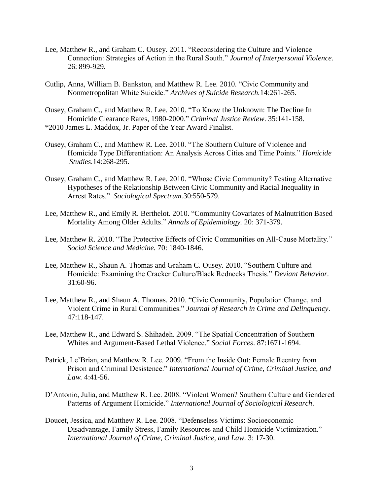- Lee, Matthew R., and Graham C. Ousey. 2011. "Reconsidering the Culture and Violence Connection: Strategies of Action in the Rural South." *Journal of Interpersonal Violence.* 26: 899-929.
- Cutlip, Anna, William B. Bankston, and Matthew R. Lee. 2010. "Civic Community and Nonmetropolitan White Suicide." *Archives of Suicide Research.*14:261-265.
- Ousey, Graham C., and Matthew R. Lee. 2010. "To Know the Unknown: The Decline In Homicide Clearance Rates, 1980-2000." *Criminal Justice Review*. 35:141-158. \*2010 James L. Maddox, Jr. Paper of the Year Award Finalist.
- Ousey, Graham C., and Matthew R. Lee. 2010. "The Southern Culture of Violence and Homicide Type Differentiation: An Analysis Across Cities and Time Points." *Homicide Studies.*14:268-295.
- Ousey, Graham C., and Matthew R. Lee. 2010. "Whose Civic Community? Testing Alternative Hypotheses of the Relationship Between Civic Community and Racial Inequality in Arrest Rates." *Sociological Spectrum.*30:550-579.
- Lee, Matthew R., and Emily R. Berthelot. 2010. "Community Covariates of Malnutrition Based Mortality Among Older Adults." *Annals of Epidemiology.* 20: 371-379.
- Lee, Matthew R. 2010. "The Protective Effects of Civic Communities on All-Cause Mortality." *Social Science and Medicine.* 70: 1840-1846.
- Lee, Matthew R., Shaun A. Thomas and Graham C. Ousey. 2010. "Southern Culture and Homicide: Examining the Cracker Culture/Black Rednecks Thesis." *Deviant Behavior.* 31:60-96.
- Lee, Matthew R., and Shaun A. Thomas. 2010. "Civic Community, Population Change, and Violent Crime in Rural Communities." *Journal of Research in Crime and Delinquency*. 47:118-147.
- Lee, Matthew R., and Edward S. Shihadeh. 2009. "The Spatial Concentration of Southern Whites and Argument-Based Lethal Violence." *Social Forces*. 87:1671-1694.
- Patrick, Le'Brian, and Matthew R. Lee. 2009. "From the Inside Out: Female Reentry from Prison and Criminal Desistence." *International Journal of Crime, Criminal Justice, and Law.* 4:41-56.
- D'Antonio, Julia, and Matthew R. Lee. 2008. "Violent Women? Southern Culture and Gendered Patterns of Argument Homicide." *International Journal of Sociological Research*.
- Doucet, Jessica, and Matthew R. Lee. 2008. "Defenseless Victims: Socioeconomic Disadvantage, Family Stress, Family Resources and Child Homicide Victimization." *International Journal of Crime, Criminal Justice, and Law*. 3: 17-30.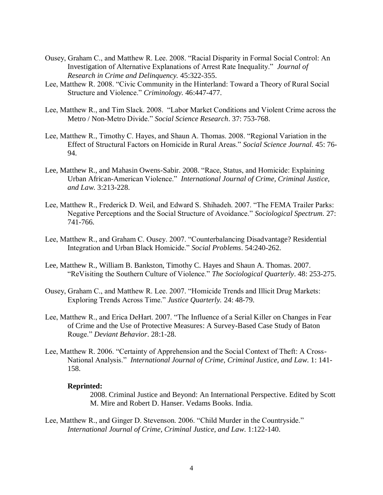- Ousey, Graham C., and Matthew R. Lee. 2008. "Racial Disparity in Formal Social Control: An Investigation of Alternative Explanations of Arrest Rate Inequality." *Journal of Research in Crime and Delinquency.* 45:322-355.
- Lee, Matthew R. 2008. "Civic Community in the Hinterland: Toward a Theory of Rural Social Structure and Violence." *Criminology.* 46:447-477.
- Lee, Matthew R., and Tim Slack. 2008. "Labor Market Conditions and Violent Crime across the Metro / Non-Metro Divide." *Social Science Research*. 37: 753-768.
- Lee, Matthew R., Timothy C. Hayes, and Shaun A. Thomas. 2008. "Regional Variation in the Effect of Structural Factors on Homicide in Rural Areas." *Social Science Journal.* 45: 76- 94.
- Lee, Matthew R., and Mahasin Owens-Sabir. 2008. "Race, Status, and Homicide: Explaining Urban African-American Violence." *International Journal of Crime, Criminal Justice, and Law*. 3:213-228.
- Lee, Matthew R., Frederick D. Weil, and Edward S. Shihadeh. 2007. "The FEMA Trailer Parks: Negative Perceptions and the Social Structure of Avoidance." *Sociological Spectrum.* 27: 741-766.
- Lee, Matthew R., and Graham C. Ousey. 2007. "Counterbalancing Disadvantage? Residential Integration and Urban Black Homicide." *Social Problems*. 54:240-262.
- Lee, Matthew R., William B. Bankston, Timothy C. Hayes and Shaun A. Thomas. 2007. "ReVisiting the Southern Culture of Violence." *The Sociological Quarterly*. 48: 253-275.
- Ousey, Graham C., and Matthew R. Lee. 2007. "Homicide Trends and Illicit Drug Markets: Exploring Trends Across Time." *Justice Quarterly.* 24: 48-79.
- Lee, Matthew R., and Erica DeHart. 2007. "The Influence of a Serial Killer on Changes in Fear of Crime and the Use of Protective Measures: A Survey-Based Case Study of Baton Rouge." *Deviant Behavior*. 28:1-28.
- Lee, Matthew R. 2006. "Certainty of Apprehension and the Social Context of Theft: A Cross-National Analysis." *International Journal of Crime, Criminal Justice, and Law*. 1: 141- 158.

#### **Reprinted:**

2008. Criminal Justice and Beyond: An International Perspective. Edited by Scott M. Mire and Robert D. Hanser. Vedams Books. India.

Lee, Matthew R., and Ginger D. Stevenson. 2006. "Child Murder in the Countryside." *International Journal of Crime, Criminal Justice, and Law*. 1:122-140.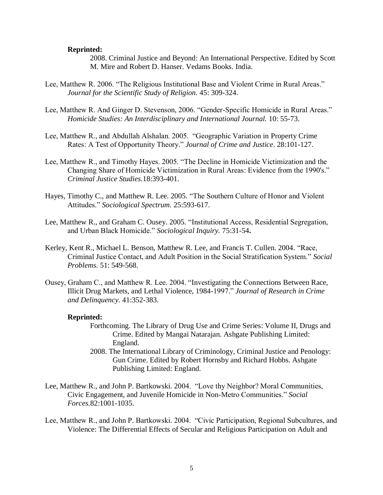#### **Reprinted:**

2008. Criminal Justice and Beyond: An International Perspective. Edited by Scott M. Mire and Robert D. Hanser. Vedams Books. India.

- Lee, Matthew R. 2006. "The Religious Institutional Base and Violent Crime in Rural Areas." *Journal for the Scientific Study of Religion.* 45: 309-324.
- Lee, Matthew R. And Ginger D. Stevenson, 2006. "Gender-Specific Homicide in Rural Areas." *Homicide Studies: An Interdisciplinary and International Journal.* 10: 55-73.
- Lee, Matthew R., and Abdullah Alshalan. 2005. "Geographic Variation in Property Crime Rates: A Test of Opportunity Theory." *Journal of Crime and Justice*. 28:101-127.
- Lee, Matthew R., and Timothy Hayes. 2005. "The Decline in Homicide Victimization and the Changing Share of Homicide Victimization in Rural Areas: Evidence from the 1990's." *Criminal Justice Studies.*18:393-401.
- Hayes, Timothy C., and Matthew R. Lee. 2005. "The Southern Culture of Honor and Violent Attitudes." *Sociological Spectrum.* 25:593-617.
- Lee, Matthew R., and Graham C. Ousey. 2005*.* "Institutional Access, Residential Segregation, and Urban Black Homicide." *Sociological Inquiry.* 75:31-54**.**
- Kerley, Kent R., Michael L. Benson, Matthew R. Lee, and Francis T. Cullen. 2004*.* "Race, Criminal Justice Contact, and Adult Position in the Social Stratification System." *Social Problems.* 51: 549-568.
- Ousey, Graham C., and Matthew R. Lee. 2004. "Investigating the Connections Between Race, Illicit Drug Markets, and Lethal Violence, 1984-1997." *Journal of Research in Crime and Delinquency.* 41:352-383.

#### **Reprinted:**

- Forthcoming. The Library of Drug Use and Crime Series: Volume II, Drugs and Crime. Edited by Mangai Natarajan. Ashgate Publishing Limited: England.
- 2008. The International Library of Criminology, Criminal Justice and Penology: Gun Crime. Edited by Robert Hornsby and Richard Hobbs. Ashgate Publishing Limited: England.
- Lee, Matthew R., and John P. Bartkowski. 2004. "Love thy Neighbor? Moral Communities, Civic Engagement, and Juvenile Homicide in Non-Metro Communities." *Social Forces.*82:1001-1035.
- Lee, Matthew R., and John P. Bartkowski. 2004. "Civic Participation, Regional Subcultures, and Violence: The Differential Effects of Secular and Religious Participation on Adult and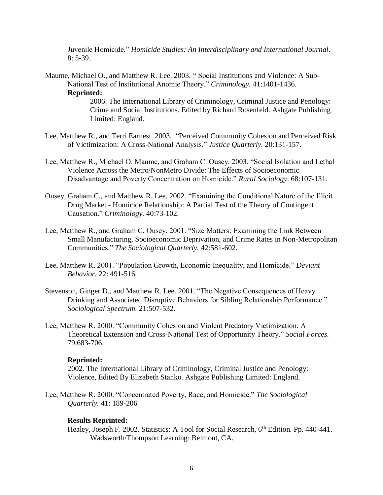Juvenile Homicide." *Homicide Studies: An Interdisciplinary and International Journal*.  $8: 5-39.$ 

- Maume, Michael O., and Matthew R. Lee. 2003*.* " Social Institutions and Violence: A Sub-National Test of Institutional Anomie Theory." *Criminology.* 41:1401-1436. **Reprinted:** 2006. The International Library of Criminology, Criminal Justice and Penology: Crime and Social Institutions. Edited by Richard Rosenfeld. Ashgate Publishing Limited: England.
- Lee, Matthew R., and Terri Earnest. 2003*.* "Perceived Community Cohesion and Perceived Risk of Victimization: A Cross-National Analysis." *Justice Quarterly.* 20:131-157.
- Lee, Matthew R., Michael O. Maume, and Graham C. Ousey. 2003. "Social Isolation and Lethal Violence Across the Metro/NonMetro Divide: The Effects of Socioeconomic Disadvantage and Poverty Concentration on Homicide." *Rural Sociology*. 68:107-131.
- Ousey, Graham C., and Matthew R. Lee. 2002. "Examining the Conditional Nature of the Illicit Drug Market **-** Homicide Relationship: A Partial Test of the Theory of Contingent Causation." *Criminology.* 40:73-102.
- Lee, Matthew R., and Graham C. Ousey. 2001. "Size Matters: Examining the Link Between Small Manufacturing, Socioeconomic Deprivation, and Crime Rates in Non-Metropolitan Communities." *The Sociological Quarterly.* 42:581-602.
- Lee, Matthew R. 2001. "Population Growth, Economic Inequality, and Homicide." *Deviant Behavior.* 22: 491-516.
- Stevenson, Ginger D., and Matthew R. Lee. 2001. "The Negative Consequences of Heavy Drinking and Associated Disruptive Behaviors for Sibling Relationship Performance." *Sociological Spectrum.* 21:507-532.
- Lee, Matthew R. 2000. "Community Cohesion and Violent Predatory Victimization: A Theoretical Extension and Cross-National Test of Opportunity Theory." *Social Forces.* 79:683-706.

#### **Reprinted:**

2002*.* The International Library of Criminology, Criminal Justice and Penology: Violence, Edited By Elizabeth Stanko. Ashgate Publishing Limited: England.

Lee, Matthew R. 2000. "Concentrated Poverty, Race, and Homicide." *The Sociological Quarterly.* 41: 189-206

#### **Results Reprinted:**

Healey, Joseph F. 2002. Statistics: A Tool for Social Research, 6<sup>th</sup> Edition. Pp. 440-441. Wadsworth/Thompson Learning: Belmont, CA.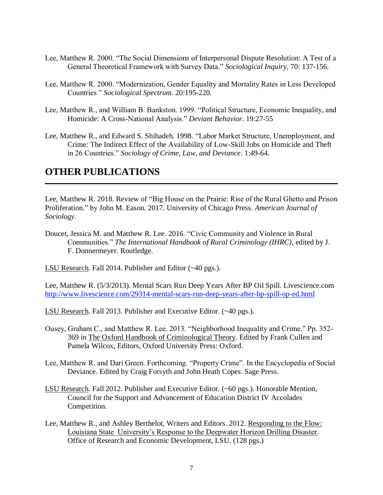- Lee, Matthew R. 2000. "The Social Dimensions of Interpersonal Dispute Resolution: A Test of a General Theoretical Framework with Survey Data." *Sociological Inquiry.* 70: 137-156.
- Lee, Matthew R. 2000. "Modernization, Gender Equality and Mortality Rates in Less Developed Countries." *Sociological Spectrum.* 20:195-220.
- Lee, Matthew R., and William B. Bankston. 1999. "Political Structure, Economic Inequality, and Homicide: A Cross-National Analysis." *Deviant Behavior*. 19:27-55
- Lee, Matthew R., and Edward S. Shihadeh. 1998*.* "Labor Market Structure, Unemployment, and Crime: The Indirect Effect of the Availability of Low-Skill Jobs on Homicide and Theft in 26 Countries." *Sociology of Crime, Law, and Deviance*. 1:49-64.

## **OTHER PUBLICATIONS**

Lee, Matthew R. 2018. Review of "Big House on the Prairie: Rise of the Rural Ghetto and Prison Proliferation." by John M. Eason. 2017. University of Chicago Press. *American Journal of Sociology*.

Doucet, Jessica M. and Matthew R. Lee. 2016. "Civic Community and Violence in Rural Communities." *The International Handbook of Rural Criminology (IHRC)*, edited by J. F. Donnermeyer. Routledge.

LSU Research. Fall 2014. Publisher and Editor (~40 pgs.).

Lee, Matthew R. (5/3/2013). Mental Scars Run Deep Years After BP Oil Spill. Livescience.com <http://www.livescience.com/29314-mental-scars-run-deep-years-after-bp-spill-op-ed.html>

LSU Research. Fall 2013. Publisher and Executive Editor. (~40 pgs.).

- Ousey, Graham C., and Matthew R. Lee. 2013. "Neighborhood Inequality and Crime." Pp. 352- 369 in The Oxford Handbook of Criminological Theory. Edited by Frank Cullen and Pamela Wilcox, Editors, Oxford University Press: Oxford.
- Lee, Matthew R. and Dari Green. Forthcoming. "Property Crime". In the Encyclopedia of Social Deviance. Edited by Craig Forsyth and John Heath Copes. Sage Press.
- LSU Research. Fall 2012. Publisher and Executive Editor. (~60 pgs.). Honorable Mention, Council for the Support and Advancement of Education District IV Accolades Competition.
- Lee, Matthew R., and Ashley Berthelot, Writers and Editors. 2012. Responding to the Flow: Louisiana State University's Response to the Deepwater Horizon Drilling Disaster. Office of Research and Economic Development, LSU. (128 pgs.)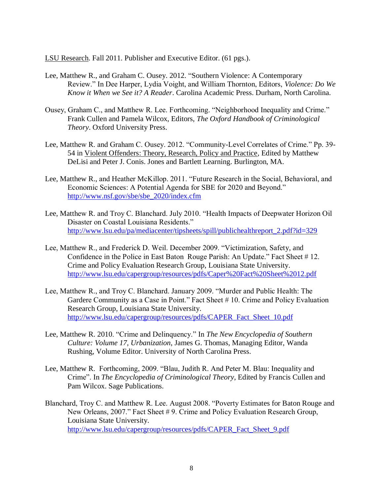LSU Research. Fall 2011. Publisher and Executive Editor. (61 pgs.).

- Lee, Matthew R., and Graham C. Ousey. 2012. "Southern Violence: A Contemporary Review." In Dee Harper, Lydia Voight, and William Thornton, Editors, *Violence: Do We Know it When we See it? A Reader*. Carolina Academic Press. Durham, North Carolina.
- Ousey, Graham C., and Matthew R. Lee. Forthcoming. "Neighborhood Inequality and Crime." Frank Cullen and Pamela Wilcox, Editors, *The Oxford Handbook of Criminological Theory*. Oxford University Press.
- Lee, Matthew R. and Graham C. Ousey. 2012. "Community-Level Correlates of Crime." Pp. 39- 54 in Violent Offenders: Theory, Research, Policy and Practice, Edited by Matthew DeLisi and Peter J. Conis. Jones and Bartlett Learning. Burlington, MA.
- Lee, Matthew R., and Heather McKillop. 2011. "Future Research in the Social, Behavioral, and Economic Sciences: A Potential Agenda for SBE for 2020 and Beyond." [http://www.nsf.gov/sbe/sbe\\_2020/index.cfm](http://www.nsf.gov/sbe/sbe_2020/index.cfm)
- Lee, Matthew R. and Troy C. Blanchard. July 2010. "Health Impacts of Deepwater Horizon Oil Disaster on Coastal Louisiana Residents." [http://www.lsu.edu/pa/mediacenter/tipsheets/spill/publichealthreport\\_2.pdf?id=329](http://www.lsu.edu/pa/mediacenter/tipsheets/spill/publichealthreport_2.pdf?id=329)
- Lee, Matthew R., and Frederick D. Weil. December 2009. "Victimization, Safety, and Confidence in the Police in East Baton Rouge Parish: An Update." Fact Sheet # 12. Crime and Policy Evaluation Research Group, Louisiana State University. <http://www.lsu.edu/capergroup/resources/pdfs/Caper%20Fact%20Sheet%2012.pdf>
- Lee, Matthew R., and Troy C. Blanchard. January 2009. "Murder and Public Health: The Gardere Community as a Case in Point." Fact Sheet # 10. Crime and Policy Evaluation Research Group, Louisiana State University. [http://www.lsu.edu/capergroup/resources/pdfs/CAPER\\_Fact\\_Sheet\\_10.pdf](http://www.lsu.edu/capergroup/resources/pdfs/CAPER_Fact_Sheet_10.pdf)
- Lee, Matthew R. 2010. "Crime and Delinquency." In *The New Encyclopedia of Southern Culture: Volume 17, Urbanization*, James G. Thomas, Managing Editor, Wanda Rushing, Volume Editor. University of North Carolina Press.
- Lee, Matthew R. Forthcoming, 2009. "Blau, Judith R. And Peter M. Blau: Inequality and Crime". In *The Encyclopedia of Criminological Theory*, Edited by Francis Cullen and Pam Wilcox. Sage Publications.
- Blanchard, Troy C. and Matthew R. Lee. August 2008. "Poverty Estimates for Baton Rouge and New Orleans, 2007." Fact Sheet # 9. Crime and Policy Evaluation Research Group, Louisiana State University. [http://www.lsu.edu/capergroup/resources/pdfs/CAPER\\_Fact\\_Sheet\\_9.pdf](http://www.lsu.edu/capergroup/resources/pdfs/CAPER_Fact_Sheet_9.pdf)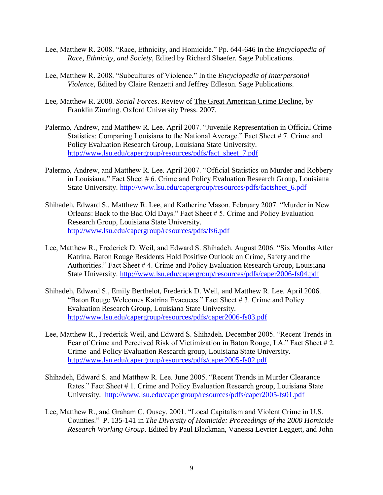- Lee, Matthew R. 2008. "Race, Ethnicity, and Homicide." Pp. 644-646 in the *Encyclopedia of Race, Ethnicity, and Society*, Edited by Richard Shaefer. Sage Publications.
- Lee, Matthew R. 2008. "Subcultures of Violence." In the *Encyclopedia of Interpersonal Violence*, Edited by Claire Renzetti and Jeffrey Edleson. Sage Publications.
- Lee, Matthew R. 2008. *Social Forces*. Review of The Great American Crime Decline, by Franklin Zimring. Oxford University Press. 2007.
- Palermo, Andrew, and Matthew R. Lee. April 2007. "Juvenile Representation in Official Crime Statistics: Comparing Louisiana to the National Average." Fact Sheet # 7. Crime and Policy Evaluation Research Group, Louisiana State University. [http://www.lsu.edu/capergroup/resources/pdfs/fact\\_sheet\\_7.pdf](http://www.lsu.edu/capergroup/resources/pdfs/fact_sheet_7.pdf)
- Palermo, Andrew, and Matthew R. Lee. April 2007. "Official Statistics on Murder and Robbery in Louisiana." Fact Sheet # 6. Crime and Policy Evaluation Research Group, Louisiana State University. [http://www.lsu.edu/capergroup/resources/pdfs/factsheet\\_6.pdf](http://www.lsu.edu/capergroup/resources/pdfs/factsheet_6.pdf)
- Shihadeh, Edward S., Matthew R. Lee, and Katherine Mason. February 2007. "Murder in New Orleans: Back to the Bad Old Days." Fact Sheet # 5. Crime and Policy Evaluation Research Group, Louisiana State University. <http://www.lsu.edu/capergroup/resources/pdfs/fs6.pdf>
- Lee, Matthew R., Frederick D. Weil, and Edward S. Shihadeh. August 2006. "Six Months After Katrina, Baton Rouge Residents Hold Positive Outlook on Crime, Safety and the Authorities." Fact Sheet # 4. Crime and Policy Evaluation Research Group, Louisiana State University.<http://www.lsu.edu/capergroup/resources/pdfs/caper2006-fs04.pdf>
- Shihadeh, Edward S., Emily Berthelot, Frederick D. Weil, and Matthew R. Lee. April 2006. "Baton Rouge Welcomes Katrina Evacuees." Fact Sheet # 3. Crime and Policy Evaluation Research Group, Louisiana State University. <http://www.lsu.edu/capergroup/resources/pdfs/caper2006-fs03.pdf>
- Lee, Matthew R., Frederick Weil, and Edward S. Shihadeh. December 2005. "Recent Trends in Fear of Crime and Perceived Risk of Victimization in Baton Rouge, LA." Fact Sheet #2. Crime and Policy Evaluation Research group, Louisiana State University. <http://www.lsu.edu/capergroup/resources/pdfs/caper2005-fs02.pdf>
- Shihadeh, Edward S. and Matthew R. Lee. June 2005. "Recent Trends in Murder Clearance Rates." Fact Sheet # 1. Crime and Policy Evaluation Research group, Louisiana State University. <http://www.lsu.edu/capergroup/resources/pdfs/caper2005-fs01.pdf>
- Lee, Matthew R., and Graham C. Ousey. 2001. "Local Capitalism and Violent Crime in U.S. Counties." P. 135-141 in *The Diversity of Homicide: Proceedings of the 2000 Homicide Research Working Group*. Edited by Paul Blackman, Vanessa Levrier Leggett, and John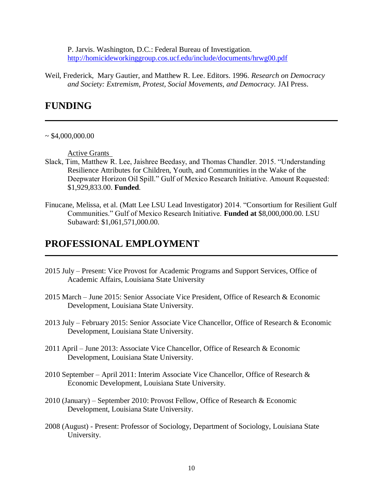P. Jarvis. Washington, D.C.: Federal Bureau of Investigation. <http://homicideworkinggroup.cos.ucf.edu/include/documents/hrwg00.pdf>

Weil, Frederick, Mary Gautier, and Matthew R. Lee. Editors. 1996. *Research on Democracy and Society: Extremism, Protest, Social Movements, and Democracy.* JAI Press.

### **FUNDING**

#### $~\sim$  \$4,000,000.00

Active Grants

- Slack, Tim, Matthew R. Lee, Jaishree Beedasy, and Thomas Chandler. 2015. "Understanding Resilience Attributes for Children, Youth, and Communities in the Wake of the Deepwater Horizon Oil Spill." Gulf of Mexico Research Initiative. Amount Requested: \$1,929,833.00. **Funded***.*
- Finucane, Melissa, et al. (Matt Lee LSU Lead Investigator) 2014. "Consortium for Resilient Gulf Communities." Gulf of Mexico Research Initiative. **Funded at** \$8,000,000.00. LSU Subaward: \$1,061,571,000.00.

### **PROFESSIONAL EMPLOYMENT**

- 2015 July Present: Vice Provost for Academic Programs and Support Services, Office of Academic Affairs, Louisiana State University
- 2015 March June 2015: Senior Associate Vice President, Office of Research & Economic Development, Louisiana State University.
- 2013 July February 2015: Senior Associate Vice Chancellor, Office of Research & Economic Development, Louisiana State University.
- 2011 April June 2013: Associate Vice Chancellor, Office of Research & Economic Development, Louisiana State University.
- 2010 September April 2011: Interim Associate Vice Chancellor, Office of Research & Economic Development, Louisiana State University.
- 2010 (January) September 2010: Provost Fellow, Office of Research & Economic Development, Louisiana State University.
- 2008 (August) Present: Professor of Sociology, Department of Sociology, Louisiana State University.